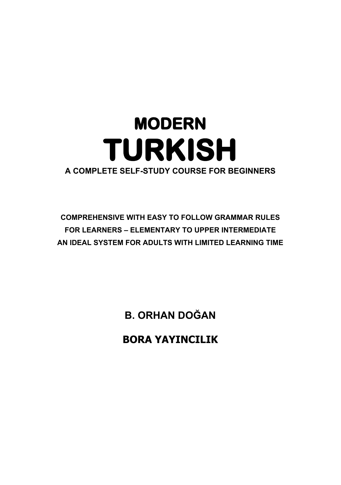# **MODERN TURKISH A COMPLETE SELF-STUDY COURSE FOR BEGINNERS**

# **COMPREHENSIVE WITH EASY TO FOLLOW GRAMMAR RULES FOR LEARNERS – ELEMENTARY TO UPPER INTERMEDIATE AN IDEAL SYSTEM FOR ADULTS WITH LIMITED LEARNING TIME**

**B. ORHAN DOĞAN** 

**BORA YAYINCILIK**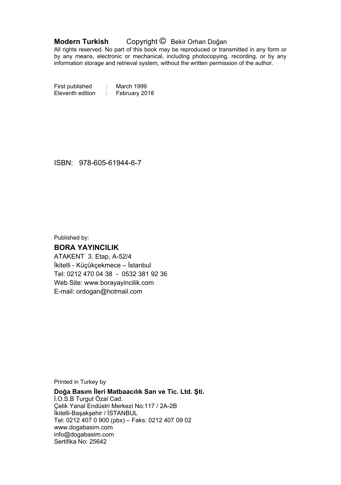#### **Modern Turkish** Copyright © Bekir Orhan Doğan

All rights reserved. No part of this book may be reproduced or transmitted in any form or by any means, electronic or mechanical, including photocopying, recording, or by any information storage and retrieval system, without the written permission of the author.

First published : March 1999 Eleventh edition : February 2018

ISBN: 978-605-61944-6-7

Published by:

#### **BORA YAYINCILIK**

ATAKENT 3. Etap, A-52/4 İkitelli - Küçükçekmece – İstanbul Tel: 0212 470 04 38 - 0532 381 92 36 Web Site: www.borayayincilik.com E-mail: ordogan@hotmail.com

Printed in Turkey by

**Doğa Basım İleri Matbaacılık San ve Tic. Ltd. Şti.** 

İ.O.S.B Turgut Özal Cad. Çelik Yanal Endüstri Merkezi No:117 / 2A-2B İkitelli-Başakşehir / İSTANBUL Tel: 0212 407 0 900 (pbx) – Faks: 0212 407 09 02 www.dogabasim.com info@dogabasim.com Sertifika No: 25642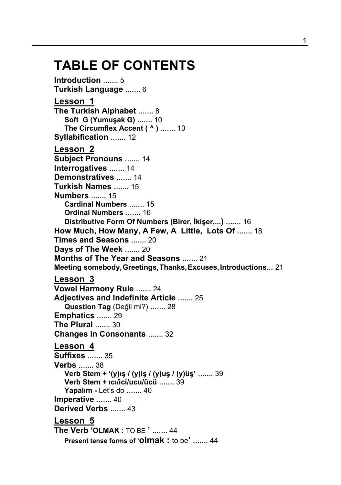# **TABLE OF CONTENTS**

**Introduction …….** 5 **Turkish Language …….** 6 **Lesson 1 The Turkish Alphabet …….** 8 **Soft G (Yumuşak G) …….** 10 **The Circumflex Accent ( ^ ) …….** 10  **Syllabification …….** 12 **Lesson 2 Subject Pronouns …….** 14 **Interrogatives …….** 14 **Demonstratives …….** 14 **Turkish Names …….** 15 **Numbers …….** 15 **Cardinal Numbers …….** 15 **Ordinal Numbers …….** 16 **Distributive Form Of Numbers (Birer, İkişer,...) …….** 16 **How Much, How Many, A Few, A Little, Lots Of …….** 18 **Times and Seasons …….** 20 **Days of The Week …….** 20 **Months of The Year and Seasons …….** 21 **Meeting somebody,Greetings,Thanks,Excuses,Introductions…** 21 **Lesson 3 Vowel Harmony Rule …….** 24 **Adjectives and Indefinite Article …….** 25 **Question Tag** (Değil mi?) **…….** 28 **Emphatics …….** 29 **The Plural …….** 30 **Changes in Consonants …….** 32 **Lesson 4 Suffixes …….** 35 **Verbs …….** 38 **Verb Stem + '(y)ış / (y)iş / (y)uş / (y)üş' …….** 39 **Verb Stem + ıcı/ici/ucu/ücü …….** 39 **Yapalım -** Let's do **…….** 40 **Imperative …….** 40 **Derived Verbs …….** 43 **Lesson 5 The Verb 'OLMAK :** TO BE **' …….** 44 **Present tense forms of 'olmak :** to be**' …….** 44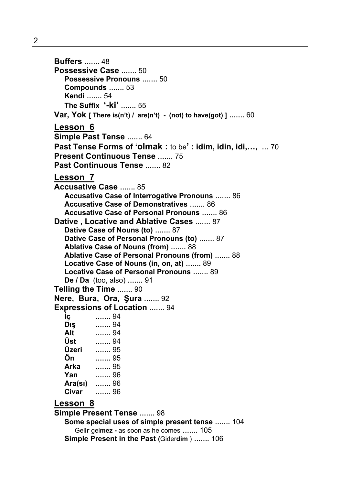**Buffers …….** 48 **Possessive Case …….** 50 **Possessive Pronouns …….** 50 **Compounds …….** 53 **Kendi …….** 54 **The Suffix '-ki' …….** 55 **Var, Yok [ There is(n't) / are(n't) - (not) to have(got) ] …….** 60 **Lesson 6 Simple Past Tense …….** 64 **Past Tense Forms of 'olmak :** to be**' : idim, idin, idi,…, …** 70 **Present Continuous Tense …….** 75 **Past Continuous Tense …….** 82 **Lesson 7 Accusative Case …….** 85 **Accusative Case of Interrogative Pronouns …….** 86 **Accusative Case of Demonstratives …….** 86 **Accusative Case of Personal Pronouns …….** 86 **Dative , Locative and Ablative Cases …….** 87 **Dative Case of Nouns (to) …….** 87 **Dative Case of Personal Pronouns (to) …….** 87 **Ablative Case of Nouns (from) …….** 88 **Ablative Case of Personal Pronouns (from) …….** 88 **Locative Case of Nouns (in, on, at) …….** 89 **Locative Case of Personal Pronouns …….** 89 **De / Da** (too, also) **…….** 91 **Telling the Time …….** 90 **Nere, Bura, Ora, Şura …….** 92 **Expressions of Location …….** 94 **İç …….** 94 **Dış …….** 94 **Alt …….** 94 **Üst …….** 94 **Üzeri …….** 95 **Ön …….** 95 **Arka …….** 95 **Yan …….** 96 **Ara(sı) …….** 96 **Civar …….** 96

#### **Lesson 8**

**Simple Present Tense …….** 98 **Some special uses of simple present tense …….** 104 Gel**ir** gel**mez -** as soon as he comes **…….** 105 **Simple Present in the Past (**Gider**dim** ) **…….** 106

2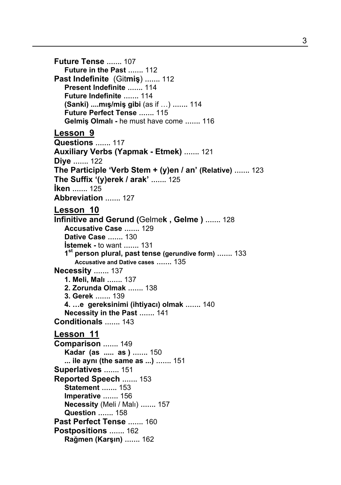**Future Tense …….** 107 **Future in the Past …….** 112 **Past Indefinite** (Git**miş**) **…….** 112 **Present Indefinite …….** 114 **Future Indefinite …….** 114 **(Sanki) ....mış/miş gibi** (as if …) **…….** 114 **Future Perfect Tense …….** 115 **Gelmiş Olmalı -** he must have come **…….** 116 **Lesson 9 Questions …….** 117 **Auxiliary Verbs (Yapmak - Etmek) …….** 121 **Diye …….** 122 **The Participle 'Verb Stem + (y)en / an' (Relative) …….** 123 **The Suffix '(y)erek / arak' …….** 125 **İken …….** 125 **Abbreviation …….** 127 **Lesson 10 Infinitive and Gerund (**Gelme**k , Gelme ) …….** 128 **Accusative Case …….** 129 **Dative Case …….** 130 **İstemek -** to want **…….** 131 **1st person plural, past tense (gerundive form) …….** 133  **Accusative and Dative cases …….** 135 **Necessity …….** 137 **1. Meli, Malı …….** 137 **2. Zorunda Olmak …….** 138 **3. Gerek …….** 139 **4. …e gereksinimi (ihtiyacı) olmak …….** 140 **Necessity in the Past …….** 141 **Conditionals …….** 143 **Lesson 11 Comparison …….** 149 **Kadar (as ..... as ) …….** 150 **... ile aynı (the same as ...) …….** 151 **Superlatives …….** 151 **Reported Speech …….** 153 **Statement …….** 153 **Imperative …….** 156 **Necessity** (Meli / Malı) **…….** 157 **Question …….** 158 **Past Perfect Tense …….** 160 **Postpositions …….** 162 **Rağmen (Karşın) …….** 162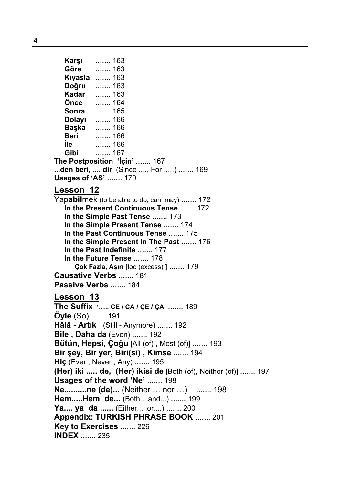**Karşı …….** 163 **Göre …….** 163 **Kıyasla …….** 163 **Doğru …….** 163 **Kadar …….** 163 **Önce …….** 164 **Sonra …….** 165 **Dolayı …….** 166

**Başka …….** 166 **Beri …….** 166 **İle …….** 166 **Gibi …….** 167 **The Postposition 'İçin' …….** 167 **...den beri, .... dir** (Since ...., For .....) **…….** 169 **Usages of 'AS' …….** 170

#### **Lesson 12**

Yap**abil**mek (to be able to do, can, may) **…….** 172 **In the Present Continuous Tense …….** 172 **In the Simple Past Tense …….** 173 **In the Simple Present Tense …….** 174 **In the Past Continuous Tense …….** 175 **In the Simple Present In The Past …….** 176 **In the Past Indefinite …….** 177 **In the Future Tense …….** 178 **Çok Fazla, Aşırı [**too (excess) **] …….** 179 **Causative Verbs …….** 181 **Passive Verbs …….** 184

#### **Lesson 13**

**The Suffix '….. CE / CA / ÇE / ÇA' …….** 189 **Öyle** (So) **…….** 191 **Hâlâ - Artık** (Still - Anymore) **…….** 192 **Bile , Daha da** (Even) **…….** 192 **Bütün, Hepsi, Çoğu** [All (of) , Most (of)] **…….** 193 **Bir şey, Bir yer, Biri(si) , Kimse …….** 194 **Hiç** (Ever , Never , Any) **…….** 195 **(Her) iki ..... de, (Her) ikisi de** [Both (of), Neither (of)] **…….** 197 **Usages of the word 'Ne' …….** 198 **Ne..........ne (de)...** (Neither … nor …) **…….** 198 **Hem.....Hem de...** (Both....and...) **…….** 199 **Ya.... ya da ......** (Either.....or....) **…….** 200 **Appendix: TURKISH PHRASE BOOK …….** 201 **Key to Exercises …….** 226 **INDEX …….** 235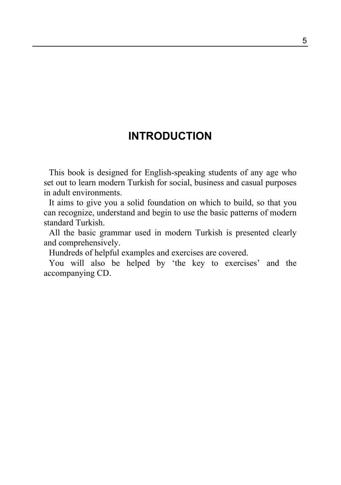## **INTRODUCTION**

This book is designed for English-speaking students of any age who set out to learn modern Turkish for social, business and casual purposes in adult environments.

It aims to give you a solid foundation on which to build, so that you can recognize, understand and begin to use the basic patterns of modern standard Turkish.

All the basic grammar used in modern Turkish is presented clearly and comprehensively.

Hundreds of helpful examples and exercises are covered.

You will also be helped by 'the key to exercises' and the accompanying CD.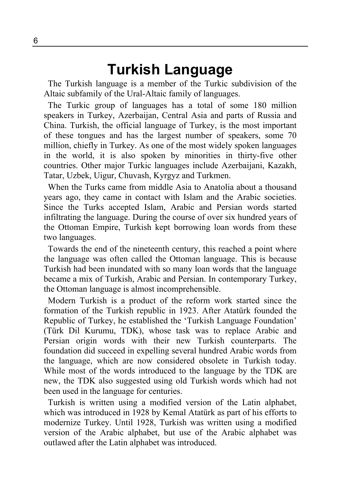# **Turkish Language**

The Turkish language is a member of the Turkic subdivision of the Altaic subfamily of the Ural-Altaic family of languages.

The Turkic group of languages has a total of some 180 million speakers in Turkey, Azerbaijan, Central Asia and parts of Russia and China. Turkish, the official language of Turkey, is the most important of these tongues and has the largest number of speakers, some 70 million, chiefly in Turkey. As one of the most widely spoken languages in the world, it is also spoken by minorities in thirty-five other countries. Other major Turkic languages include Azerbaijani, Kazakh, Tatar, Uzbek, Uigur, Chuvash, Kyrgyz and Turkmen.

When the Turks came from middle Asia to Anatolia about a thousand years ago, they came in contact with Islam and the Arabic societies. Since the Turks accepted Islam, Arabic and Persian words started infiltrating the language. During the course of over six hundred years of the Ottoman Empire, Turkish kept borrowing loan words from these two languages.

Towards the end of the nineteenth century, this reached a point where the language was often called the Ottoman language. This is because Turkish had been inundated with so many loan words that the language became a mix of Turkish, Arabic and Persian. In contemporary Turkey, the Ottoman language is almost incomprehensible.

Modern Turkish is a product of the reform work started since the formation of the Turkish republic in 1923. After Atatürk founded the Republic of Turkey, he established the 'Turkish Language Foundation' (Türk Dil Kurumu, TDK), whose task was to replace Arabic and Persian origin words with their new Turkish counterparts. The foundation did succeed in expelling several hundred Arabic words from the language, which are now considered obsolete in Turkish today. While most of the words introduced to the language by the TDK are new, the TDK also suggested using old Turkish words which had not been used in the language for centuries.

Turkish is written using a modified version of the Latin alphabet, which was introduced in 1928 by Kemal Atatürk as part of his efforts to modernize Turkey. Until 1928, Turkish was written using a modified version of the Arabic alphabet, but use of the Arabic alphabet was outlawed after the Latin alphabet was introduced.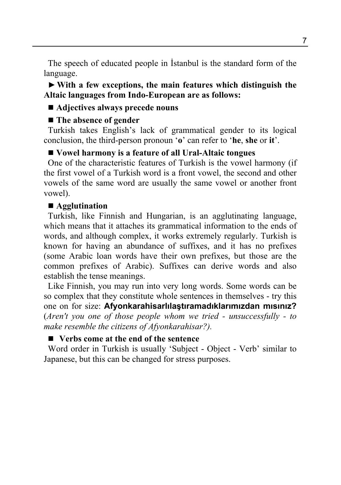The speech of educated people in İstanbul is the standard form of the language.

►**With a few exceptions, the main features which distinguish the Altaic languages from Indo-European are as follows:** 

#### ■ Adjectives always precede nouns

#### ■ The absence of gender

Turkish takes English's lack of grammatical gender to its logical conclusion, the third-person pronoun '**o**' can refer to '**he**, **she** or **it**'.

#### **Vowel harmony is a feature of all Ural-Altaic tongues**

One of the characteristic features of Turkish is the vowel harmony (if the first vowel of a Turkish word is a front vowel, the second and other vowels of the same word are usually the same vowel or another front vowel).

#### **Agglutination**

Turkish, like Finnish and Hungarian, is an agglutinating language, which means that it attaches its grammatical information to the ends of words, and although complex, it works extremely regularly. Turkish is known for having an abundance of suffixes, and it has no prefixes (some Arabic loan words have their own prefixes, but those are the common prefixes of Arabic). Suffixes can derive words and also establish the tense meanings.

Like Finnish, you may run into very long words. Some words can be so complex that they constitute whole sentences in themselves - try this one on for size: **Afyonkarahisarlılaştıramadıklarımızdan mısınız?**  (*Aren't you one of those people whom we tried - unsuccessfully - to make resemble the citizens of Afyonkarahisar?).*

#### **Verbs come at the end of the sentence**

Word order in Turkish is usually 'Subject - Object - Verb' similar to Japanese, but this can be changed for stress purposes.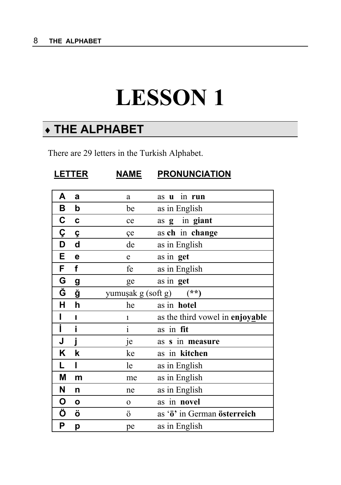# **LESSON 1**

# ♦ **THE ALPHABET**

There are 29 letters in the Turkish Alphabet.

| <b>LETTER</b> |              | <b>NAME</b>        | <b>PRONUNCIATION</b>            |
|---------------|--------------|--------------------|---------------------------------|
| Α             | a            | a                  | in run<br>as<br>$\mathbf u$     |
| В             | b            | be                 | as in English                   |
| C             | C            | ce                 | in giant<br>as g                |
| Ç             | Ç            | çe                 | as ch in change                 |
| D             | d            | de                 | as in English                   |
| E             | e            | e                  | as in get                       |
| F             | f            | fe                 | as in English                   |
| G             | g            | ge                 | as in get                       |
| Ğ             | ğ            | yumuşak g (soft g) | $(**)$                          |
| H             | h            | he                 | as in hotel                     |
| ı             | ı            | $\mathbf{1}$       | as the third vowel in enjoyable |
| Ī             | i            | $\mathbf{i}$       | as in fit                       |
| J             | İ            | je                 | s in measure<br>as              |
| Κ             | k            | ke                 | as in kitchen                   |
| L             | I            | le                 | as in English                   |
| Μ             | m            | me                 | as in English                   |
| N             | n            | ne                 | as in English                   |
| O             | $\mathbf{o}$ | $\mathbf 0$        | as in novel                     |
| Ö             | Ö            | Ö                  | as 'ö' in German österreich     |
| Ρ             | p            | pe                 | as in English                   |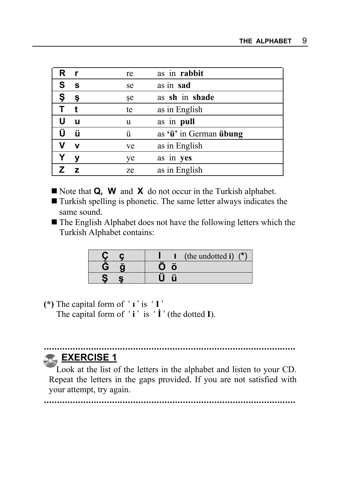| R. | - r          | re | as in rabbit           |
|----|--------------|----|------------------------|
| S  | $\mathbf{s}$ | se | as in sad              |
| Ş  | Ş            | șe | as sh in shade         |
|    |              | te | as in English          |
|    | u            | u  | as in pull             |
| Ü  | ü            | ü  | as 'ü' in German übung |
| v  | $\mathbf v$  | ve | as in English          |
|    | ۷            | ye | as in yes              |
|    | z            | ze | as in English          |

- Note that **Q, W** and **X** do not occur in the Turkish alphabet.
- Turkish spelling is phonetic. The same letter always indicates the same sound.
- The English Alphabet does not have the following letters which the Turkish Alphabet contains:

|   | /*`<br>(the undotted i) |
|---|-------------------------|
| G |                         |
| е |                         |

**(\*)** The capital form of ' **ı** ' is ' **I** '

The capital form of '**i**' is '**İ**' (the dotted **I**).

#### **................................................................................................ EXERCISE 1**

 Look at the list of the letters in the alphabet and listen to your CD. Repeat the letters in the gaps provided. If you are not satisfied with your attempt, try again.

**................................................................................................**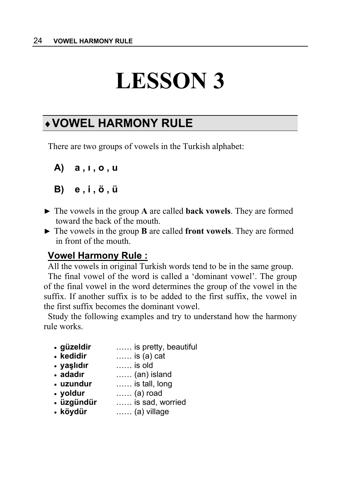# **LESSON 3**

# ♦**VOWEL HARMONY RULE**

There are two groups of vowels in the Turkish alphabet:

```
A) a , ı , o , u 
B) e , i , ö , ü
```
- ► The vowels in the group **A** are called **back vowels**. They are formed toward the back of the mouth.
- ► The vowels in the group **B** are called **front vowels**. They are formed in front of the mouth.

#### **Vowel Harmony Rule :**

All the vowels in original Turkish words tend to be in the same group. The final vowel of the word is called a 'dominant vowel'. The group of the final vowel in the word determines the group of the vowel in the suffix. If another suffix is to be added to the first suffix, the vowel in the first suffix becomes the dominant vowel.

Study the following examples and try to understand how the harmony rule works.

- **güzeldir** …… is pretty, beautiful
- **kedidir** …… is (a) cat
- **yaşlıdır** …… is old
- **adadır** …… (an) island
- **uzundur** …… is tall, long
- **yoldur** …… (a) road
- **üzgündür** …… is sad, worried
- **köydür** …… (a) village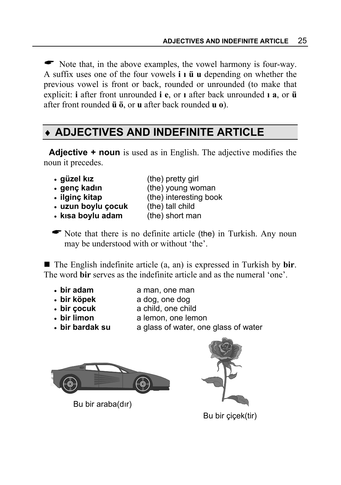$\bullet$  Note that, in the above examples, the vowel harmony is four-way. A suffix uses one of the four vowels **i ı ü u** depending on whether the previous vowel is front or back, rounded or unrounded (to make that explicit: **i** after front unrounded **i e**, or **ı** after back unrounded **ı a**, or **ü** after front rounded **ü ö**, or **u** after back rounded **u o**).

# ♦ **ADJECTIVES AND INDEFINITE ARTICLE**

**Adjective + noun** is used as in English. The adjective modifies the noun it precedes.

- **güzel kız** (the) pretty girl
- genç kadın (the) young woman
- **ilginc kitap** (the) interesting book
- **uzun boylu çocuk** (the) tall child

- **kısa boylu adam** (the) short man
- $\bullet$  Note that there is no definite article (the) in Turkish. Any noun may be understood with or without 'the'.

■ The English indefinite article (a, an) is expressed in Turkish by **bir**. The word **bir** serves as the indefinite article and as the numeral 'one'.

- 
- **bir adam** a man, one man
- **bir köpek** a dog, one dog
- 
- **bir çocuk** a child, one child
- **bir limon a lemon**, one lemon
- 
- **bir bardak su** a glass of water, one glass of water



Bu bir araba(dır)



Bu bir çiçek(tir)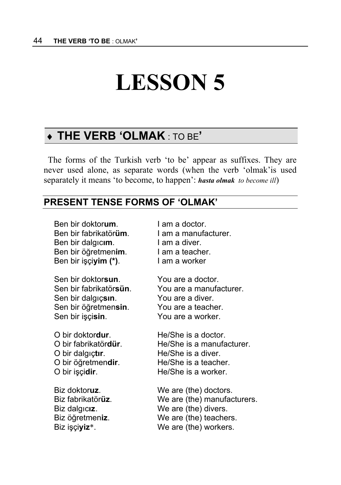# **LESSON 5**

# ♦ **THE VERB 'OLMAK** : TO BE**'**

The forms of the Turkish verb 'to be' appear as suffixes. They are never used alone, as separate words (when the verb 'olmak'is used separately it means 'to become, to happen': *hasta olmak to become ill*)

#### **PRESENT TENSE FORMS OF 'OLMAK'**

| Ben bir doktorum.               | I am a doctor.              |
|---------------------------------|-----------------------------|
| Ben bir fabrikatör <b>üm</b> .  | I am a manufacturer.        |
| Ben bir dalgıcım.               | I am a diver.               |
| Ben bir öğretmenim.             | I am a teacher.             |
| Ben bir işçi <b>yim (*)</b> .   | I am a worker               |
| Sen bir doktorsun.              | You are a doctor.           |
| Sen bir fabrikatör <b>sün</b> . | You are a manufacturer.     |
| Sen bir dalgıçsın.              | You are a diver.            |
| Sen bir öğretmensin.            | You are a teacher.          |
| Sen bir işçisin.                | You are a worker.           |
| O bir doktor <b>dur</b> .       | He/She is a doctor.         |
| O bir fabrikatördür.            | He/She is a manufacturer.   |
| O bir dalgıçtır.                | He/She is a diver.          |
| O bir öğretmendir.              | He/She is a teacher.        |
| O bir işçidir.                  | He/She is a worker.         |
| Biz doktoruz.                   | We are (the) doctors.       |
| Biz fabrikatör <b>üz</b> .      | We are (the) manufacturers. |
| Biz dalgıcız.                   | We are (the) divers.        |
| Biz öğretmeniz.                 | We are (the) teachers.      |
| Biz işçi <b>yiz</b> *.          | We are (the) workers.       |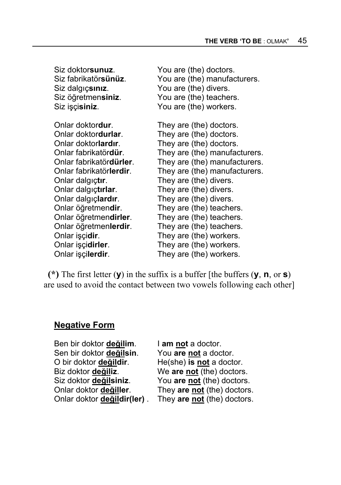| Siz doktorsunuz.                 | You are (the) doctors.        |
|----------------------------------|-------------------------------|
| Siz fabrikatörsünüz.             | You are (the) manufacturers.  |
| Siz dalgıçsınız.                 | You are (the) divers.         |
| Siz öğretmensiniz.               | You are (the) teachers.       |
| Siz işçisiniz.                   | You are (the) workers.        |
| Onlar doktor <b>dur</b> .        | They are (the) doctors.       |
| Onlar doktordurlar.              | They are (the) doctors.       |
| Onlar doktorlardır.              | They are (the) doctors.       |
| Onlar fabrikatördür.             | They are (the) manufacturers. |
| Onlar fabrikatör <b>dürler</b> . | They are (the) manufacturers. |
| Onlar fabrikatörlerdir.          | They are (the) manufacturers. |
| Onlar dalgıçtır.                 | They are (the) divers.        |
| Onlar dalgıçtırlar.              | They are (the) divers.        |
| Onlar dalgıçlardır.              | They are (the) divers.        |
| Onlar öğretmendir.               | They are (the) teachers.      |
| Onlar öğretmendirler.            | They are (the) teachers.      |
| Onlar öğretmenlerdir.            | They are (the) teachers.      |
| Onlar işçidir.                   | They are (the) workers.       |
| Onlar işçidirler.                | They are (the) workers.       |
| Onlar işçi <b>lerdir</b> .       | They are (the) workers.       |

**(\*)** The first letter (**y**) in the suffix is a buffer [the buffers (**y**, **n**, or **s**) are used to avoid the contact between two vowels following each other]

#### **Negative Form**

Ben bir doktor **değilim**.I **am not** a doctor. Sen bir doktor **değilsin**.You **are not** a doctor. O bir doktor **değildir**.He(she) **is not** a doctor. Biz doktor **değiliz**. **We are <u>not</u> (the) doctors.**<br>Siz doktor **değilsiniz**. **You are not** (the) doctors.

You are not (the) doctors. Onlar doktor **değiller**.They **are not** (the) doctors. Onlar doktor **değildir(ler)** . They **are not** (the) doctors.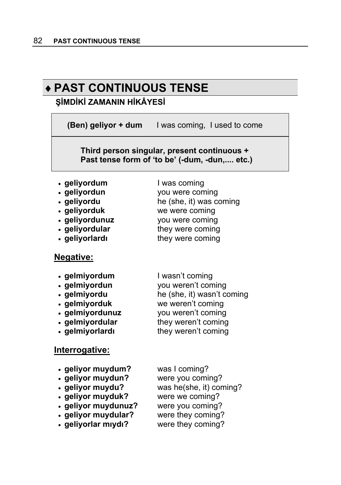# ♦**PAST CONTINUOUS TENSE**

#### **ŞİMDİKİ ZAMANIN HİKÂYESİ**

**(Ben) geliyor + dum** I was coming, I used to come

 **Third person singular, present continuous + Past tense form of 'to be' (-dum, -dun,.... etc.)**

- **geliyordum** I was coming
- 
- **geliyordu** he (she, it) was coming
- **geliyorduk** we were coming
- 
- **geliyordular** they were coming
- 

#### **Negative:**

- 
- **gelmiyordun** vou weren't coming
- 
- **gelmiyorduk** we weren't coming
- 
- **gelmiyordular they weren't coming**
- 

## **Interrogative:**

- **geliyor muydum?** was I coming? • **geliyor muydun?** were you coming?
- 
- 
- **geliyor muyduk?** were we coming?
- 
- 
- 

• **geliyordun** you were coming

- 
- **geliyordunuz** vou were coming
- **geliyorlard they** were coming
- gelmiyordum lwasn't coming
	-
- **gelmiyordu** he (she, it) wasn't coming
- **gelmiyordunuz** you weren't coming
- **gelmiyorlard example 1** they weren't coming
	-
- **geliyor muydu?** was he(she, it) coming?
	-
- **geliyor muydunuz?** were you coming?
- **geliyor muydular?** were they coming?
- **geliyorlar mıydı?** were they coming?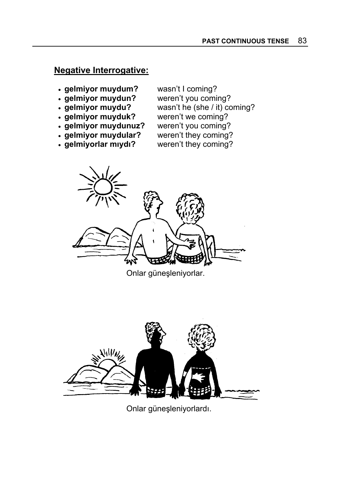#### **Negative Interrogative:**

- **gelmiyor muydum?** wasn't I coming?
- 
- 
- **gelmiyor muyduk?** weren't we coming?<br>• **gelmiyor muydunuz?** weren't you coming?
- gelmiyor muydunuz?
- **gelmiyor muydular?** weren't they coming?<br>• **gelmiyorlar miydi?** weren't they coming?
- gelmiyorlar mıydı?

- **gelmiyor muydun?** weren't you coming?
- **gelmiyor muydu?** wasn't he (she / it) coming?
	-
	-
	-
	-



Onlar güneşleniyorlar.



Onlar güneşleniyorlardı.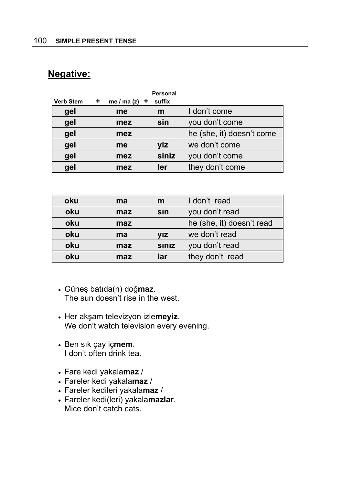#### **Negative:**

|           |   |                 | <b>Personal</b> |                           |
|-----------|---|-----------------|-----------------|---------------------------|
| Verb Stem | ٠ | me / ma (z) $+$ | suffix          |                           |
| gel       |   | me              | m               | I don't come              |
| gel       |   | mez             | sin             | you don't come            |
| gel       |   | mez             |                 | he (she, it) doesn't come |
| gel       |   | me              | yiz             | we don't come             |
| gel       |   | mez             | siniz           | you don't come            |
| gel       |   | mez             | ler             | they don't come           |

| oku | ma  | m                      | I don't read              |
|-----|-----|------------------------|---------------------------|
| oku | maz | <b>s</b> <sub>In</sub> | you don't read            |
| oku | maz |                        | he (she, it) doesn't read |
| oku | ma  | VIZ                    | we don't read             |
| oku | maz | <b>SINIZ</b>           | you don't read            |
| oku | maz | lar                    | they don't read           |

- Güneş batıda(n) doğ**maz**. The sun doesn't rise in the west.
- Her akşam televizyon izle**meyiz**. We don't watch television every evening.
- Ben sık çay iç**mem**. I don't often drink tea.
- Fare kedi yakala**maz** /
- Fareler kedi yakala**maz** /
- Fareler kedileri yakala**maz** /
- Fareler kedi(leri) yakala**mazlar**. Mice don't catch cats.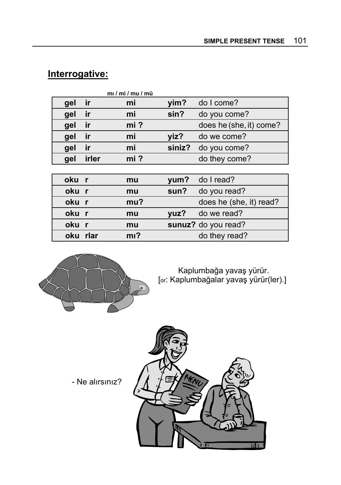|       |       | mI/mI/mu/mU |        |                         |
|-------|-------|-------------|--------|-------------------------|
| gel   | ir    | mi          | yim?   | do I come?              |
| gel   | ir    | mi          | sin?   | do you come?            |
| gel   | ir    | $mi$ ?      |        | does he (she, it) come? |
| gel   | ir    | mi          | yiz?   | do we come?             |
| gel   | ir    | mi          | siniz? | do you come?            |
| gel   | irler | $mi$ ?      |        | do they come?           |
|       |       |             |        |                         |
| oku r |       | mu          | yum?   | do I read?              |
| oku r |       | mu          | sun?   | do you read?            |
| oku r |       | mu?         |        | does he (she, it) read? |
| oku r |       | mu          | yuz?   | do we read?             |
| oku r |       | mu          |        | sunuz? do you read?     |

**oku rlar mi?** do they read?

# **Interrogative:**



Kaplumbağa yavaş yürür. [or: Kaplumbağalar yavaş yürür(ler).]

- Ne alırsınız?

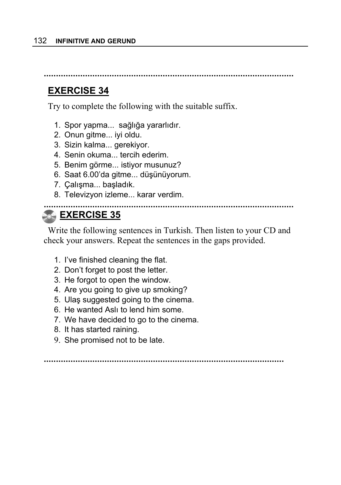**.......................................................................................................**

### **EXERCISE 34**

Try to complete the following with the suitable suffix.

- 1. Spor yapma... sağlığa yararlıdır.
- 2. Onun gitme... iyi oldu.
- 3. Sizin kalma... gerekiyor.
- 4. Senin okuma... tercih ederim.
- 5. Benim görme... istiyor musunuz?
- 6. Saat 6.00'da gitme... düşünüyorum.
- 7. Çalışma... başladık.
- 8. Televizyon izleme... karar verdim.

#### **....................................................................................................... EXERCISE 35**

Write the following sentences in Turkish. Then listen to your CD and check your answers. Repeat the sentences in the gaps provided.

- 1. I've finished cleaning the flat.
- 2. Don't forget to post the letter.
- 3. He forgot to open the window.
- 4. Are you going to give up smoking?
- 5. Ulaş suggested going to the cinema.
- 6. He wanted Aslı to lend him some.
- 7. We have decided to go to the cinema.
- 8. It has started raining.
- 9. She promised not to be late.

**...................................................................................................**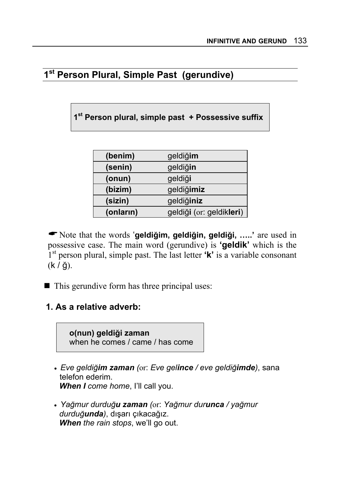# **1st Person Plural, Simple Past (gerundive)**

**1st Person plural, simple past + Possessive suffix** 

| (benim)   | geldiğim                 |
|-----------|--------------------------|
| (senin)   | geldiğin                 |
| (onun)    | geldiği                  |
| (bizim)   | geldiğimiz               |
| (sizin)   | geldiğiniz               |
| (onların) | geldiği (or: geldikleri) |

\$Note that the words '**geldiğim, geldiğin, geldiği, …..'** are used in possessive case. The main word (gerundive) is **'geldik'** which is the 1st person plural, simple past. The last letter **'k'** is a variable consonant (k / ğ).

 $\blacksquare$  This gerundive form has three principal uses:

#### **1. As a relative adverb:**



- *Eve geldiğim zaman (*or: *Eve gelince / eve geldiğimde)*, sana telefon ederim. *When I come home*, I'll call you.
- *Yağmur durduğu zaman (*or: *Yağmur durunca / yağmur durduğunda)*, dışarı çıkacağız. *When the rain stops*, we'll go out.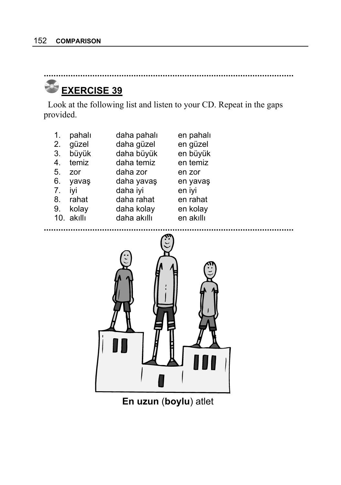# **EXERCISE 39**

Look at the following list and listen to your CD. Repeat in the gaps provided.

**.......................................................................................................**

| 1. | pahalı     | daha pahalı | en pahalı |
|----|------------|-------------|-----------|
| 2. | güzel      | daha güzel  | en güzel  |
| 3. | büyük      | daha büyük  | en büyük  |
| 4. | temiz      | daha temiz  | en temiz  |
| 5. | zor        | daha zor    | en zor    |
| 6. | yavaş      | daha yavaş  | en yavaş  |
| 7. | ivi        | daha iyi    | en iyi    |
| 8. | rahat      | daha rahat  | en rahat  |
| 9. | kolay      | daha kolay  | en kolay  |
|    | 10. akıllı | daha akıllı | en akıllı |
|    |            |             |           |



**En uzun** (**boylu**) atlet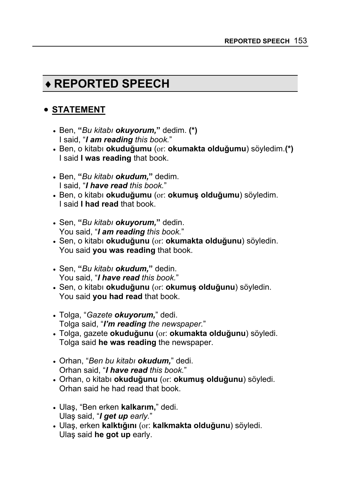# ♦**REPORTED SPEECH**

### • **STATEMENT**

- Ben, **"***Bu kitabı okuyorum,***"** dedim. **(\*)** I said, "*I am reading this book.*"
- Ben, o kitabı **okuduğumu** (or: **okumakta olduğumu**) söyledim.**(\*)** I said **I was reading** that book.
- Ben, **"***Bu kitabı okudum,***"** dedim. I said, "*I have read this book.*"
- Ben, o kitabı **okuduğumu** (or: **okumuş olduğumu**) söyledim. I said **I had read** that book.
- Sen, **"***Bu kitabı okuyorum,***"** dedin. You said, "*I am reading this book.*"
- Sen, o kitabı **okuduğunu** (or: **okumakta olduğunu**) söyledin. You said **you was reading** that book.
- Sen, **"***Bu kitabı okudum,***"** dedin. You said, "*I have read this book.*"
- Sen, o kitabı **okuduğunu** (or: **okumuş olduğunu**) söyledin. You said **you had read** that book.
- Tolga, "*Gazete okuyorum,*" dedi. Tolga said, "*I'm reading the newspaper.*"
- Tolga, gazete **okuduğunu** (or: **okumakta olduğunu**) söyledi. Tolga said **he was reading** the newspaper.
- Orhan, "*Ben bu kitabı okudum,*" dedi. Orhan said, "*I have read this book.*"
- Orhan, o kitabı **okuduğunu** (or: **okumuş olduğunu**) söyledi. Orhan said he had read that book.
- Ulaş, "Ben erken **kalkarım,**" dedi. Ulaş said, "*I get up early.*"
- Ulaş, erken **kalktığını** (or: **kalkmakta olduğunu**) söyledi. Ulaş said **he got up** early.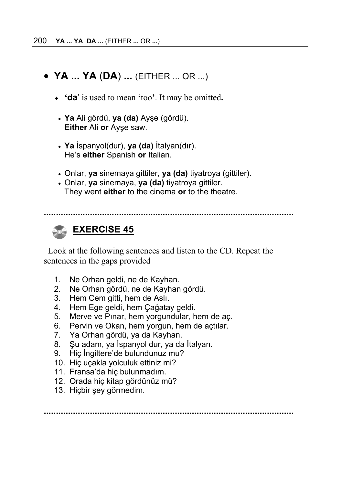## • **YA ... YA** (**DA**) **...** (EITHER ... OR ...)

- ♦ **'da**' is used to mean **'**too**'**. It may be omitted**.**
- **Ya** Ali gördü, **ya (da)** Ayşe (gördü). **Either** Ali **or** Ayşe saw.
- **Ya** İspanyol(dur), **ya (da)** İtalyan(dır). He's **either** Spanish **or** Italian.
- Onlar, **ya** sinemaya gittiler, **ya (da)** tiyatroya (gittiler).
- Onlar, **ya** sinemaya, **ya (da)** tiyatroya gittiler. They went **either** to the cinema **or** to the theatre.

**.......................................................................................................**

# *B* EXERCISE 45

Look at the following sentences and listen to the CD. Repeat the sentences in the gaps provided

- 1. Ne Orhan geldi, ne de Kayhan.
- 2. Ne Orhan gördü, ne de Kayhan gördü.
- 3. Hem Cem gitti, hem de Aslı.
- 4. Hem Ege geldi, hem Çağatay geldi.
- 5. Merve ve Pınar, hem yorgundular, hem de aç.
- 6. Pervin ve Okan, hem yorgun, hem de açtılar.
- 7. Ya Orhan gördü, ya da Kayhan.
- 8. Şu adam, ya İspanyol dur, ya da İtalyan.
- 9. Hiç İngiltere'de bulundunuz mu?
- 10. Hiç uçakla yolculuk ettiniz mi?
- 11. Fransa'da hiç bulunmadım.
- 12. Orada hiç kitap gördünüz mü?
- 13. Hiçbir şey görmedim.

**.......................................................................................................**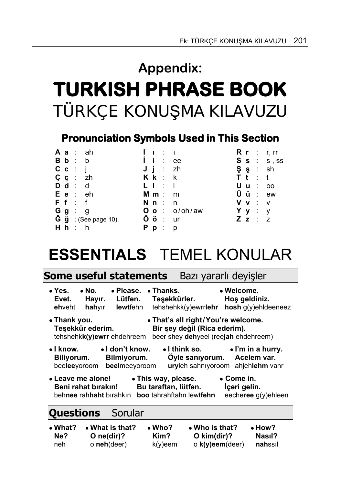# **Appendix: TURKISH PHRASE BOOK**  TÜRKÇE KONUŞMA KILAVUZU

# **Pronunciation Symbols Used in This Section**

|    |                                 | <b>Aa</b> : ah                          |     |               |            |                                       |     |                 |                | R r : r, rr             |
|----|---------------------------------|-----------------------------------------|-----|---------------|------------|---------------------------------------|-----|-----------------|----------------|-------------------------|
|    | B b : b                         |                                         | l i |               | $\sim 100$ | ee                                    |     |                 |                | $S \simeq$ : $S$ , $SS$ |
|    | $C_{\mathbf{C}}$ : $\mathbf{i}$ |                                         |     |               |            | $J$ $i$ : zh                          |     | $\varsigma$ s : |                | sh                      |
|    |                                 | $\zeta$ $\zeta$ : zh                    |     | $K$ $k$ : $k$ |            |                                       |     |                 |                | T t : t                 |
|    | $\mathbf{D} \mathbf{d}$ : d     |                                         | L L |               | $\sim$ 1   |                                       |     | Uu              | $\sim 100$     | <sub>00</sub>           |
|    |                                 | $E e$ : $eh$                            |     | $M \, m : m$  |            |                                       |     | Üü              |                | $\therefore$ ew         |
|    | F f : f                         |                                         |     | $N$ $n$ : $n$ |            |                                       | V v |                 | $\therefore$ V |                         |
| Gg | ∷ g                             |                                         |     |               |            | $O \circ : \circ / \circ h / \circ w$ | Yy  |                 | $\sim$ 1.      | $\mathsf{y}$            |
|    |                                 | $\check{G}$ $\check{g}$ : (See page 10) |     | Öö            | $\sim$ 1.  | ur u                                  |     |                 | $Z$ $z$ : $z$  |                         |
|    | H h : h                         |                                         | P p |               | ÷          | <sub>p</sub>                          |     |                 |                |                         |

# **ESSENTIALS** TEMEL KONULAR

| Some useful statements | Bazı yararlı deyişler |  |
|------------------------|-----------------------|--|
|------------------------|-----------------------|--|

| • No.<br>$\bullet$ Yes.<br>• Please.<br>• Welcome.<br>$\bullet$ Thanks.<br>Lütfen.<br>Teşekkürler.<br>Hos geldiniz.<br>Evet.<br>Hayır.<br>$t$ ehshehkk $(y)$ ewrrlehr<br>hosh g(y)ehldeeneez<br><b>lewtfehn</b><br>ehveht<br>hahyir |  |  |  |  |  |
|-------------------------------------------------------------------------------------------------------------------------------------------------------------------------------------------------------------------------------------|--|--|--|--|--|
| • That's all right/You're welcome.<br>• Thank you.<br>Teşekkür ederim.<br>Bir şey değil (Rica ederim).<br>tehshehkk(y)ewrr ehdehreem<br>beer shey dehyeel (reejah ehdehreem)                                                        |  |  |  |  |  |
| $\bullet$ I know.<br>• I don't know.<br>$\bullet$ I think so.<br>$\bullet$ I'm in a hurry.<br>Öyle sanıyorum. Acelem var.<br>Bilmiyorum.<br>Biliyorum.<br>beelmeeyoroom<br>uryleh sahnıyoroom<br>beeleeyoroom<br>ahjehlehm vahr     |  |  |  |  |  |
| • Leave me alone!<br>$\bullet$ Come in.<br>• This way, please.<br>Bu taraftan, lütfen.<br>İçeri gelin.<br>Beni rahat bırakın!<br>eecheree g(y)ehleen<br>behnee rahhaht bırahkın<br>boo tahrahftahn lewtfehn                         |  |  |  |  |  |
| $\sim$                                                                                                                                                                                                                              |  |  |  |  |  |

# **Questions** Sorular

| $\bullet$ What? | $\bullet$ What is that? | $\bullet$ Who? | $\bullet$ Who is that?    | $\bullet$ How? |
|-----------------|-------------------------|----------------|---------------------------|----------------|
| Ne?             | O ne(dir)?              | Kim?           | O kim $\frac{dim}(dir)$ ? | Nasıl?         |
| neh             | o neh(deer)             | $k(v)$ eem     | $\circ$ k(y)eem(deer)     | nahssil        |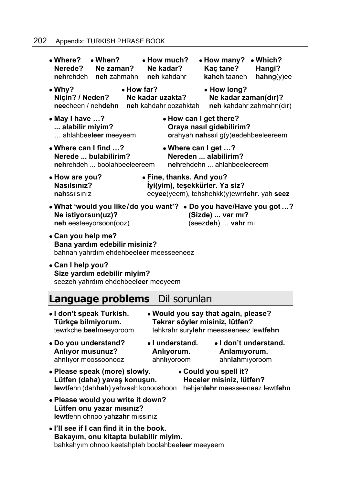#### 202 Appendix: TURKISH PHRASE BOOK

| $\bullet$ When?<br>• Where?<br>Nerede?<br>Ne zaman?<br>nehrehdeh neh zahmahn                                                                                                                  | $\bullet$ How much?<br>Ne kadar?<br>neh kahdahr                                           | • How many?<br>$\bullet$ Which?<br>Kaç tane?<br>Hangi?<br>kahch taaneh<br>hahng(y)ee                        |  |  |  |
|-----------------------------------------------------------------------------------------------------------------------------------------------------------------------------------------------|-------------------------------------------------------------------------------------------|-------------------------------------------------------------------------------------------------------------|--|--|--|
| $\bullet$ Why?<br>Niçin? / Neden?<br>neecheen / nehdehn                                                                                                                                       | $\bullet$ How far?<br>Ne kadar uzakta?<br>neh kahdahr oozahktah                           | • How long?<br>Ne kadar zaman(dır)?<br>neh kahdahr zahmahn(dır)                                             |  |  |  |
| • May I have ?<br>alabilir miyim?<br>ahlahbeeleer meeyeem                                                                                                                                     | • How can I get there?<br>Oraya nasıl gidebilirim?<br>orahyah nahssil g(y)eedehbeeleereem |                                                                                                             |  |  |  |
| • Where can I find ?<br>• Where can I get ?<br>Nereden  alabilirim?<br>Nerede  bulabilirim?<br>nehrehdehn  ahlahbeeleereem<br><b>nehrehdeh  boolahbeeleereem</b>                              |                                                                                           |                                                                                                             |  |  |  |
| • Fine, thanks. And you?<br>• How are you?<br>Nasılsınız?<br>İyi(yim), teşekkürler. Ya siz?<br>nahssilsiniz<br>eeyee(yeem), tehshehkk(y)ewrrlehr. yah seez                                    |                                                                                           |                                                                                                             |  |  |  |
| Ne istiyorsun(uz)?<br>neh eesteeyorsoon(ooz)                                                                                                                                                  |                                                                                           | • What 'would you like/do you want'? • Do you have/Have you got ?<br>(Sizde)  var mı?<br>(seezdeh)  vahr mi |  |  |  |
| • Can you help me?<br>Bana yardım edebilir misiniz?<br>bahnah yahrdım ehdehbeeleer meesseeneez                                                                                                |                                                                                           |                                                                                                             |  |  |  |
| • Can I help you?<br>Size yardım edebilir miyim?<br>seezeh yahrdım ehdehbeeleer meeyeem                                                                                                       |                                                                                           |                                                                                                             |  |  |  |
| Language problems                                                                                                                                                                             | Dil sorunları                                                                             |                                                                                                             |  |  |  |
| • I don't speak Turkish.<br>• Would you say that again, please?<br>Tekrar söyler misiniz, lütfen?<br>Türkçe bilmiyorum.<br>tewrkche beelmeeyoroom<br>tehkrahr surylehr meesseeneez lewtfehn   |                                                                                           |                                                                                                             |  |  |  |
| • Do you understand?<br><b>Anliyor musunuz?</b><br>ahnlıyor moossoonooz                                                                                                                       | • I understand.<br>Anlıyorum.<br>ahnlıyoroom                                              | • I don't understand.<br>Anlamıyorum.<br>ahnlahmiyoroom                                                     |  |  |  |
| • Please speak (more) slowly.<br>• Could you spell it?<br>Lütfen (daha) yavaş konuşun.<br>Heceler misiniz, lütfen?<br>lewtfehn (dahhah) yahvash konooshoon<br>hehjehlehr meesseeneez lewtfehn |                                                                                           |                                                                                                             |  |  |  |
| . Please would you write it down?<br>Lütfen onu yazar mısınız?<br>lewtfehn ohnoo yahzahr missiniz                                                                                             |                                                                                           |                                                                                                             |  |  |  |
| • I'll see if I can find it in the book.<br>Bakayım, onu kitapta bulabilir miyim.                                                                                                             |                                                                                           |                                                                                                             |  |  |  |

bahkahyım ohnoo keetahptah boolahbee**leer** meeyeem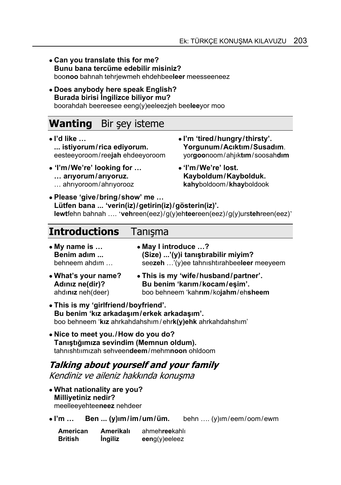- **Can you translate this for me? Bunu bana tercüme edebilir misiniz?**  boo**noo** bahnah tehrjewmeh ehdehbee**leer** meesseeneez
- **Does anybody here speak English? Burada birisi İngilizce biliyor mu?**  boorahdah beereesee eeng(y)eeleezjeh bee**lee**yor moo

# **Wanting** Bir şey isteme

- **I'd like …** ● **I'm 'tired/hungry/thirsty'. ... istiyorum/rica ediyorum. Yorgunum/Acıktım/Susadım**.
- ● **'I'm/We're' looking for … 'I'm/We're' lost.** ... arıyorum/arıyoruz. Kayboldum/Kaybolduk. … ahrıyoroom/ahrıyorooz **kahy**boldoom/**khay**boldook
- eesteeyoroom/ree**jah** ehdeeyoroom yor**goo**noom/ahjık**tım**/soosah**dım**
	-
- **Please 'give/bring/show' me … Lütfen bana ... 'verin(iz)/getirin(iz)/gösterin(iz)'. lewt**fehn bahnah …. '**veh**reen(eez)/g(y)eh**tee**reen(eez)/g(y)urs**teh**reen(eez)'

# **Introductions** Tanışma

| • My name is $\dots$<br>Benim adım | • May I introduce ?<br>(Size) '(y)i tanıştırabilir miyim? |  |
|------------------------------------|-----------------------------------------------------------|--|
| behneem ahdim                      | seezeh '(y)ee tahnishtirahbeeleer meeyeem                 |  |
| • What's your name?                | • This is my 'wife/husband/partner'.                      |  |

- **Adınız ne(dir)? Bu benim 'karım/kocam/eşim'.** ahdı**nız** neh(deer) boo behneem 'kah**rım**/ko**jahm**/eh**sheem**
- **This is my 'girlfriend/boyfriend'. Bu benim 'kız arkadaşım/erkek arkadaşım'.** boo behneem '**kız** ahrkahdahshım / ehr**k(y)ehk** ahrkahdahshım'
- **Nice to meet you./How do you do? Tanıştığımıza sevindim (Memnun oldum).** tahnıshtıımızah sehveen**deem**/mehm**noon** ohldoom

#### **Talking about yourself and your family**  Kendiniz ve aileniz hakkında konuşma

- **What nationality are you? Milliyetiniz nedir?**  meelleeyehtee**neez** nehdeer
- **I'm … Ben ... (y)ım/im/um/üm.** behn …. (y)ım/eem/oom/ewm

| American       | Amerikalı | ahmehreekahlı    |
|----------------|-----------|------------------|
| <b>British</b> | Ingiliz   | $eeng(y)$ eeleez |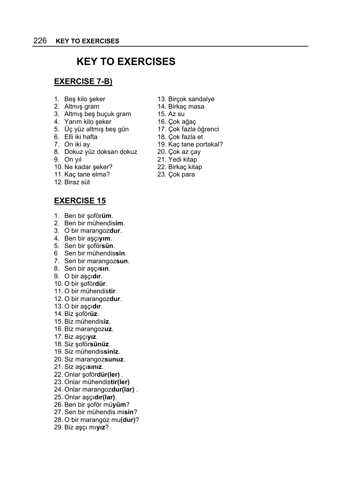# **KEY TO EXERCISES**

#### **EXERCISE 7-B)**

- 
- 2. Altmış gram 14. Birkaç masa
- 3. Altmış beş buçuk gram 15. Az su
- 4. Yarım kilo şeker 16. Çok ağaç
- 5. Üç yüz altmış beş gün 17. Çok fazla öğrenci<br>6. Elli iki hafta 18. Çok fazla et
- 
- 
- 8. Dokuz yüz doksan dokuz 20. Çok az çay
- 
- 10. Ne kadar şeker? 22. Birkaç kitap
- 11. Kaç tane elma? 23. Çok para
- 12. Biraz süt

#### **EXERCISE 15**

- 1. Ben bir şoför**üm**.
- 2. Ben bir mühendis**im**.
- 3. O bir marangoz**dur**.
- 4. Ben bir aşçı**yım**.
- 5. Sen bir şoför**sün**.
- 6 Sen bir mühendis**sin**.
- 7. Sen bir marangoz**sun**.
- 8. Sen bir aşçı**sın**.
- 9. O bir aşçı**dır**.
- 10. O bir şoför**dür**.
- 11. O bir mühendis**tir**.
- 12. O bir marangoz**dur**.
- 13. O bir aşçı**dır**.
- 14. Biz şoför**üz**.
- 15. Biz mühendis**iz**.
- 16. Biz marangoz**uz**.
- 17. Biz aşçı**yız**.
- 18. Siz şoför**sünüz**.
- 19. Siz mühendis**siniz**.
- 20. Siz marangoz**sunuz**.
- 21. Siz aşçı**sınız**.
- 22. Onlar şoför**dür(ler)** .
- 23. Onlar mühendis**tir(ler)**
- 24. Onlar marangoz**dur(lar)** .
- 25. Onlar aşçı**dır(lar)**.
- 26. Ben bir şoför mü**yüm**?
- 27. Sen bir mühendis mi**sin**?
- 28. O bir marangoz mu**(dur)**?
- 29. Biz aşçı mı**yız**?
- 1. Beş kilo şeker 13. Birçok sandalye
	-
	-
	-
	-
	- 18. Çok fazla et
- 7. On iki ay 19. Kaç tane portakal?
	-
- 9. On yıl 21. Yedi kitap
	-
	-